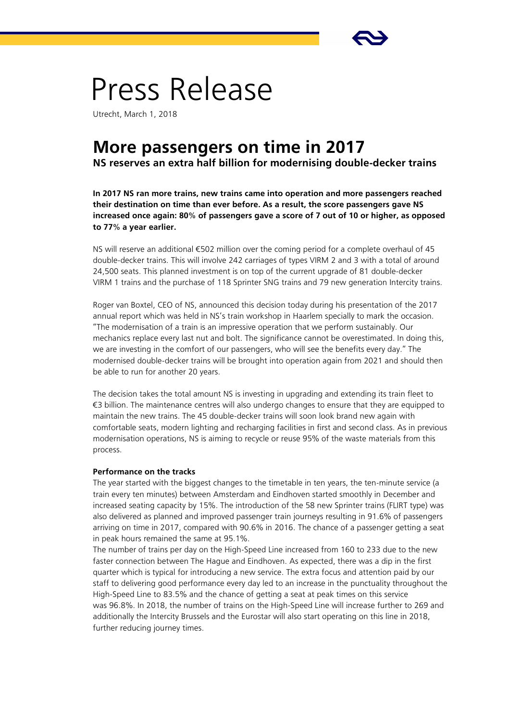

# Press Release

Utrecht, March 1, 2018

## **More passengers on time in 2017**

**NS reserves an extra half billion for modernising double-decker trains**

**In 2017 NS ran more trains, new trains came into operation and more passengers reached their destination on time than ever before. As a result, the score passengers gave NS increased once again: 80% of passengers gave a score of 7 out of 10 or higher, as opposed to 77% a year earlier.** 

NS will reserve an additional €502 million over the coming period for a complete overhaul of 45 double-decker trains. This will involve 242 carriages of types VIRM 2 and 3 with a total of around 24,500 seats. This planned investment is on top of the current upgrade of 81 double-decker VIRM 1 trains and the purchase of 118 Sprinter SNG trains and 79 new generation Intercity trains.

Roger van Boxtel, CEO of NS, announced this decision today during his presentation of the 2017 annual report which was held in NS's train workshop in Haarlem specially to mark the occasion. "The modernisation of a train is an impressive operation that we perform sustainably. Our mechanics replace every last nut and bolt. The significance cannot be overestimated. In doing this, we are investing in the comfort of our passengers, who will see the benefits every day." The modernised double-decker trains will be brought into operation again from 2021 and should then be able to run for another 20 years.

The decision takes the total amount NS is investing in upgrading and extending its train fleet to €3 billion. The maintenance centres will also undergo changes to ensure that they are equipped to maintain the new trains. The 45 double-decker trains will soon look brand new again with comfortable seats, modern lighting and recharging facilities in first and second class. As in previous modernisation operations, NS is aiming to recycle or reuse 95% of the waste materials from this process.

#### **Performance on the tracks**

The year started with the biggest changes to the timetable in ten years, the ten-minute service (a train every ten minutes) between Amsterdam and Eindhoven started smoothly in December and increased seating capacity by 15%. The introduction of the 58 new Sprinter trains (FLIRT type) was also delivered as planned and improved passenger train journeys resulting in 91.6% of passengers arriving on time in 2017, compared with 90.6% in 2016. The chance of a passenger getting a seat in peak hours remained the same at 95.1%.

The number of trains per day on the High-Speed Line increased from 160 to 233 due to the new faster connection between The Hague and Eindhoven. As expected, there was a dip in the first quarter which is typical for introducing a new service. The extra focus and attention paid by our staff to delivering good performance every day led to an increase in the punctuality throughout the High-Speed Line to 83.5% and the chance of getting a seat at peak times on this service was 96.8%. In 2018, the number of trains on the High-Speed Line will increase further to 269 and additionally the Intercity Brussels and the Eurostar will also start operating on this line in 2018, further reducing journey times.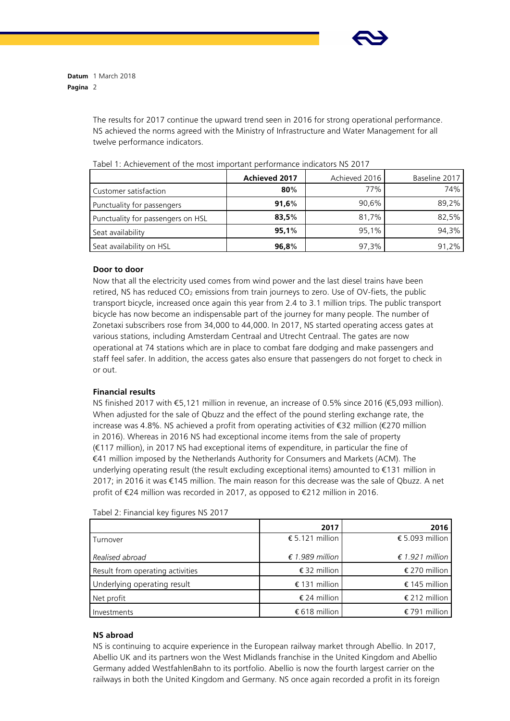

**Datum** 1 March 2018 **Pagina** 2

> The results for 2017 continue the upward trend seen in 2016 for strong operational performance. NS achieved the norms agreed with the Ministry of Infrastructure and Water Management for all twelve performance indicators.

|                                   | Achieved 2017 | Achieved 2016 | Baseline 2017 |
|-----------------------------------|---------------|---------------|---------------|
| Customer satisfaction             | 80%           | 77%           | 74%           |
| Punctuality for passengers        | 91,6%         | 90,6%         | 89,2%         |
| Punctuality for passengers on HSL | 83,5%         | 81,7%         | 82,5%         |
| Seat availability                 | 95.1%         | 95,1%         | 94.3%         |
| Seat availability on HSL          | 96,8%         | 97,3%         | 91.2%         |

Tabel 1: Achievement of the most important performance indicators NS 2017

### **Door to door**

Now that all the electricity used comes from wind power and the last diesel trains have been retired, NS has reduced CO<sub>2</sub> emissions from train journeys to zero. Use of OV-fiets, the public transport bicycle, increased once again this year from 2.4 to 3.1 million trips. The public transport bicycle has now become an indispensable part of the journey for many people. The number of Zonetaxi subscribers rose from 34,000 to 44,000. In 2017, NS started operating access gates at various stations, including Amsterdam Centraal and Utrecht Centraal. The gates are now operational at 74 stations which are in place to combat fare dodging and make passengers and staff feel safer. In addition, the access gates also ensure that passengers do not forget to check in or out.

#### **Financial results**

NS finished 2017 with €5,121 million in revenue, an increase of 0.5% since 2016 (€5,093 million). When adjusted for the sale of Qbuzz and the effect of the pound sterling exchange rate, the increase was 4.8%. NS achieved a profit from operating activities of €32 million (€270 million in 2016). Whereas in 2016 NS had exceptional income items from the sale of property (€117 million), in 2017 NS had exceptional items of expenditure, in particular the fine of €41 million imposed by the Netherlands Authority for Consumers and Markets (ACM). The underlying operating result (the result excluding exceptional items) amounted to €131 million in 2017; in 2016 it was €145 million. The main reason for this decrease was the sale of Qbuzz. A net profit of €24 million was recorded in 2017, as opposed to €212 million in 2016.

|                                  | 2017            | 2016            |
|----------------------------------|-----------------|-----------------|
| Turnover                         | € 5.121 million | € 5.093 million |
| Realised abroad                  | € 1.989 million | € 1.921 million |
| Result from operating activities | € 32 million    | € 270 million   |
| Underlying operating result      | € 131 million   | € 145 million   |
| Net profit                       | € 24 million    | € 212 million   |
| Investments                      | € 618 million   | € 791 million   |

Tabel 2: Financial key figures NS 2017

### **NS abroad**

NS is continuing to acquire experience in the European railway market through Abellio. In 2017, Abellio UK and its partners won the West Midlands franchise in the United Kingdom and Abellio Germany added WestfahlenBahn to its portfolio. Abellio is now the fourth largest carrier on the railways in both the United Kingdom and Germany. NS once again recorded a profit in its foreign